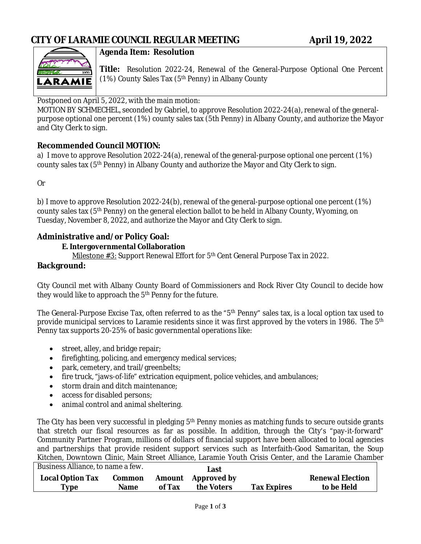# **CITY OF LARAMIE COUNCIL REGULAR MEETING April 19, 2022**



## **Agenda Item: Resolution**

**Title:** Resolution 2022-24, Renewal of the General-Purpose Optional One Percent (1%) County Sales Tax  $(5<sup>th</sup>$  Penny) in Albany County

Postponed on April 5, 2022, with the main motion:

MOTION BY SCHMECHEL, seconded by Gabriel, to approve Resolution 2022-24(a), renewal of the generalpurpose optional one percent (1%) county sales tax (5th Penny) in Albany County, and authorize the Mayor and City Clerk to sign.

## **Recommended Council MOTION:**

a) I move to approve Resolution 2022-24(a), renewal of the general-purpose optional one percent (1%) county sales tax (5th Penny) in Albany County and authorize the Mayor and City Clerk to sign.

Or

b) I move to approve Resolution 2022-24(b), renewal of the general-purpose optional one percent (1%) county sales tax (5th Penny) on the general election ballot to be held in Albany County, Wyoming, on Tuesday, November 8, 2022, and authorize the Mayor and City Clerk to sign.

## **Administrative and/or Policy Goal:**

#### **E. Intergovernmental Collaboration**

Milestone #3: Support Renewal Effort for 5<sup>th</sup> Cent General Purpose Tax in 2022.

#### **Background:**

City Council met with Albany County Board of Commissioners and Rock River City Council to decide how they would like to approach the 5<sup>th</sup> Penny for the future.

The General-Purpose Excise Tax, often referred to as the "5<sup>th</sup> Penny" sales tax, is a local option tax used to provide municipal services to Laramie residents since it was first approved by the voters in 1986. The  $5^{\rm th}$ Penny tax supports 20-25% of basic governmental operations like:

- street, alley, and bridge repair;
- firefighting, policing, and emergency medical services;
- park, cemetery, and trail/greenbelts;
- fire truck, "jaws-of-life" extrication equipment, police vehicles, and ambulances;
- storm drain and ditch maintenance;
- access for disabled persons;
- animal control and animal sheltering.

The City has been very successful in pledging 5<sup>th</sup> Penny monies as matching funds to secure outside grants that stretch our fiscal resources as far as possible. In addition, through the City's "pay-it-forward" Community Partner Program, millions of dollars of financial support have been allocated to local agencies and partnerships that provide resident support services such as Interfaith-Good Samaritan, the Soup Kitchen, Downtown Clinic, Main Street Alliance, Laramie Youth Crisis Center, and the Laramie Chamber

| Business Alliance, to name a few. |             |        | Last                      |                    |                         |
|-----------------------------------|-------------|--------|---------------------------|--------------------|-------------------------|
| <b>Local Option Tax</b>           | Common      |        | <b>Amount</b> Approved by |                    | <b>Renewal Election</b> |
| <b>Type</b>                       | <b>Name</b> | of Tax | the Voters                | <b>Tax Expires</b> | to be Held              |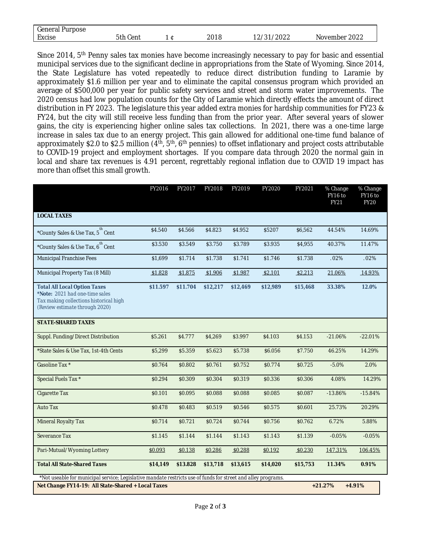| <b>General Purpose</b> |          |      |            |               |
|------------------------|----------|------|------------|---------------|
| Excise                 | 5th Cent | 2018 | 12/31/2022 | November 2022 |

Since 2014, 5<sup>th</sup> Penny sales tax monies have become increasingly necessary to pay for basic and essential municipal services due to the significant decline in appropriations from the State of Wyoming. Since 2014, the State Legislature has voted repeatedly to reduce direct distribution funding to Laramie by approximately \$1.6 million per year and to eliminate the capital consensus program which provided an average of \$500,000 per year for public safety services and street and storm water improvements. The 2020 census had low population counts for the City of Laramie which directly effects the amount of direct distribution in FY 2023. The legislature this year added extra monies for hardship communities for FY23 & FY24, but the city will still receive less funding than from the prior year. After several years of slower gains, the city is experiencing higher online sales tax collections. In 2021, there was a one-time large increase in sales tax due to an energy project. This gain allowed for additional one-time fund balance of approximately \$2.0 to \$2.5 million  $(4^{\text{th}}, 5^{\text{th}}, 6^{\text{th}}$  pennies) to offset inflationary and project costs attributable to COVID-19 project and employment shortages. If you compare data through 2020 the normal gain in local and share tax revenues is 4.91 percent, regrettably regional inflation due to COVID 19 impact has more than offset this small growth.

|                                                                                                                                                                     | FY2016   | FY2017   | FY2018   | FY2019   | FY2020   | FY2021   | % Change<br>FY16 to<br>FY21 | % Change<br>FY16 to<br><b>FY20</b> |
|---------------------------------------------------------------------------------------------------------------------------------------------------------------------|----------|----------|----------|----------|----------|----------|-----------------------------|------------------------------------|
| <b>LOCAL TAXES</b>                                                                                                                                                  |          |          |          |          |          |          |                             |                                    |
| *County Sales & Use Tax, 5 <sup>th</sup> Cent                                                                                                                       | \$4.540  | \$4.566  | \$4.823  | \$4.952  | \$5207   | \$6,562  | 44.54%                      | 14.69%                             |
| *County Sales & Use Tax, $\boldsymbol{6}^{\mathrm{th}}$ Cent                                                                                                        | \$3.530  | \$3.549  | \$3.750  | \$3.789  | \$3.935  | \$4,955  | 40.37%                      | 11.47%                             |
| <b>Municipal Franchise Fees</b>                                                                                                                                     | \$1,699  | \$1.714  | \$1.738  | \$1.741  | \$1.746  | \$1.738  | .02%                        | .02%                               |
| Municipal Property Tax (8 Mill)                                                                                                                                     | \$1.828  | \$1.875  | \$1.906  | \$1.987  | \$2,101  | \$2,213  | 21.06%                      | 14.93%                             |
| <b>Total All Local Option Taxes</b><br>*Note: 2021 had one-time sales<br>Tax making collections historical high<br>(Review estimate through 2020)                   | \$11.597 | \$11.704 | \$12,217 | \$12,469 | \$12,989 | \$15,468 | 33.38%                      | 12.0%                              |
| <b>STATE-SHARED TAXES</b>                                                                                                                                           |          |          |          |          |          |          |                             |                                    |
| Suppl. Funding/Direct Distribution                                                                                                                                  | \$5.261  | \$4.777  | \$4,269  | \$3.997  | \$4.103  | \$4.153  | $-21.06%$                   | $-22.01%$                          |
| *State Sales & Use Tax, 1st-4th Cents                                                                                                                               | \$5,299  | \$5.359  | \$5.623  | \$5.738  | \$6.056  | \$7.750  | 46.25%                      | 14.29%                             |
| Gasoline Tax*                                                                                                                                                       | \$0.764  | \$0.802  | \$0.761  | \$0.752  | \$0.774  | \$0.725  | $-5.0\%$                    | 2.0%                               |
| Special Fuels Tax*                                                                                                                                                  | \$0.294  | \$0.309  | \$0.304  | \$0.319  | \$0.336  | \$0.306  | 4.08%                       | 14.29%                             |
| Cigarette Tax                                                                                                                                                       | \$0.101  | \$0.095  | \$0.088  | \$0.088  | \$0.085  | \$0.087  | $-13.86%$                   | $-15.84%$                          |
| <b>Auto Tax</b>                                                                                                                                                     | \$0.478  | \$0.483  | \$0.519  | \$0.546  | \$0.575  | \$0.601  | 25.73%                      | 20.29%                             |
| Mineral Royalty Tax                                                                                                                                                 | \$0.714  | \$0.721  | \$0.724  | \$0.744  | \$0.756  | \$0.762  | 6.72%                       | 5.88%                              |
| Severance Tax                                                                                                                                                       | \$1.145  | \$1.144  | \$1.144  | \$1.143  | \$1.143  | \$1.139  | $-0.05%$                    | $-0.05%$                           |
| Pari-Mutual/Wyoming Lottery                                                                                                                                         | \$0.093  | \$0.138  | \$0.286  | \$0.288  | \$0.192  | \$0.230  | 147.31%                     | 106.45%                            |
| <b>Total All State-Shared Taxes</b>                                                                                                                                 | \$14,149 | \$13.828 | \$13,718 | \$13,615 | \$14,020 | \$15,753 | 11.34%                      | 0.91%                              |
| *Not useable for municipal service; Legislative mandate restricts use of funds for street and alley programs.<br>Net Change FY14-19: All State-Shared + Local Taxes |          |          |          |          |          |          | $+21.27%$                   | $+4.91%$                           |